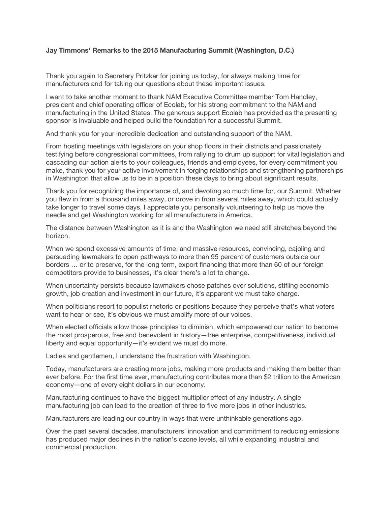## **Jay Timmons' Remarks to the 2015 Manufacturing Summit (Washington, D.C.)**

Thank you again to Secretary Pritzker for joining us today, for always making time for manufacturers and for taking our questions about these important issues.

I want to take another moment to thank NAM Executive Committee member Tom Handley, president and chief operating officer of Ecolab, for his strong commitment to the NAM and manufacturing in the United States. The generous support Ecolab has provided as the presenting sponsor is invaluable and helped build the foundation for a successful Summit.

And thank you for your incredible dedication and outstanding support of the NAM.

From hosting meetings with legislators on your shop floors in their districts and passionately testifying before congressional committees, from rallying to drum up support for vital legislation and cascading our action alerts to your colleagues, friends and employees, for every commitment you make, thank you for your active involvement in forging relationships and strengthening partnerships in Washington that allow us to be in a position these days to bring about significant results.

Thank you for recognizing the importance of, and devoting so much time for, our Summit. Whether you flew in from a thousand miles away, or drove in from several miles away, which could actually take longer to travel some days, I appreciate you personally volunteering to help us move the needle and get Washington working for all manufacturers in America.

The distance between Washington as it is and the Washington we need still stretches beyond the horizon.

When we spend excessive amounts of time, and massive resources, convincing, cajoling and persuading lawmakers to open pathways to more than 95 percent of customers outside our borders … or to preserve, for the long term, export financing that more than 60 of our foreign competitors provide to businesses, it's clear there's a lot to change.

When uncertainty persists because lawmakers chose patches over solutions, stifling economic growth, job creation and investment in our future, it's apparent we must take charge.

When politicians resort to populist rhetoric or positions because they perceive that's what voters want to hear or see, it's obvious we must amplify more of our voices.

When elected officials allow those principles to diminish, which empowered our nation to become the most prosperous, free and benevolent in history—free enterprise, competitiveness, individual liberty and equal opportunity—it's evident we must do more.

Ladies and gentlemen, I understand the frustration with Washington.

Today, manufacturers are creating more jobs, making more products and making them better than ever before. For the first time ever, manufacturing contributes more than \$2 trillion to the American economy—one of every eight dollars in our economy.

Manufacturing continues to have the biggest multiplier effect of any industry. A single manufacturing job can lead to the creation of three to five more jobs in other industries.

Manufacturers are leading our country in ways that were unthinkable generations ago.

Over the past several decades, manufacturers' innovation and commitment to reducing emissions has produced major declines in the nation's ozone levels, all while expanding industrial and commercial production.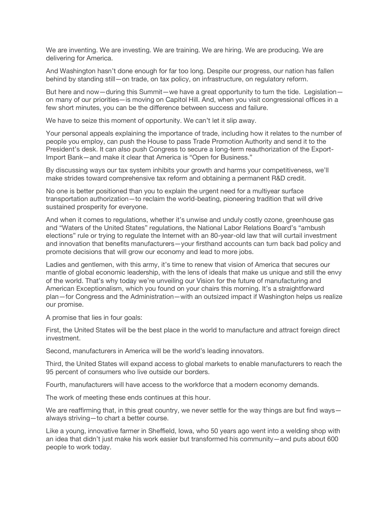We are inventing. We are investing. We are training. We are hiring. We are producing. We are delivering for America.

And Washington hasn't done enough for far too long. Despite our progress, our nation has fallen behind by standing still—on trade, on tax policy, on infrastructure, on regulatory reform.

But here and now—during this Summit—we have a great opportunity to turn the tide. Legislation on many of our priorities—is moving on Capitol Hill. And, when you visit congressional offices in a few short minutes, you can be the difference between success and failure.

We have to seize this moment of opportunity. We can't let it slip away.

Your personal appeals explaining the importance of trade, including how it relates to the number of people you employ, can push the House to pass Trade Promotion Authority and send it to the President's desk. It can also push Congress to secure a long-term reauthorization of the Export-Import Bank—and make it clear that America is "Open for Business."

By discussing ways our tax system inhibits your growth and harms your competitiveness, we'll make strides toward comprehensive tax reform and obtaining a permanent R&D credit.

No one is better positioned than you to explain the urgent need for a multiyear surface transportation authorization—to reclaim the world-beating, pioneering tradition that will drive sustained prosperity for everyone.

And when it comes to regulations, whether it's unwise and unduly costly ozone, greenhouse gas and "Waters of the United States" regulations, the National Labor Relations Board's "ambush elections" rule or trying to regulate the Internet with an 80-year-old law that will curtail investment and innovation that benefits manufacturers—your firsthand accounts can turn back bad policy and promote decisions that will grow our economy and lead to more jobs.

Ladies and gentlemen, with this army, it's time to renew that vision of America that secures our mantle of global economic leadership, with the lens of ideals that make us unique and still the envy of the world. That's why today we're unveiling our Vision for the future of manufacturing and American Exceptionalism, which you found on your chairs this morning. It's a straightforward plan—for Congress and the Administration—with an outsized impact if Washington helps us realize our promise.

A promise that lies in four goals:

First, the United States will be the best place in the world to manufacture and attract foreign direct investment.

Second, manufacturers in America will be the world's leading innovators.

Third, the United States will expand access to global markets to enable manufacturers to reach the 95 percent of consumers who live outside our borders.

Fourth, manufacturers will have access to the workforce that a modern economy demands.

The work of meeting these ends continues at this hour.

We are reaffirming that, in this great country, we never settle for the way things are but find ways always striving—to chart a better course.

Like a young, innovative farmer in Sheffield, Iowa, who 50 years ago went into a welding shop with an idea that didn't just make his work easier but transformed his community—and puts about 600 people to work today.